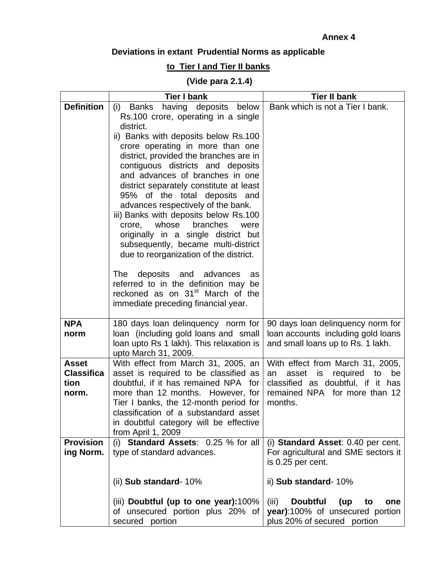## **Annex 4**

## **Deviations in extant Prudential Norms as applicable**

## **to Tier I and Tier II banks**

## **(Vide para 2.1.4)**

|                   | <b>Tier I bank</b>                                                                   | <b>Tier II bank</b>                          |
|-------------------|--------------------------------------------------------------------------------------|----------------------------------------------|
| <b>Definition</b> | <b>Banks</b><br>having deposits below<br>(i)                                         | Bank which is not a Tier I bank.             |
|                   | Rs.100 crore, operating in a single                                                  |                                              |
|                   | district.                                                                            |                                              |
|                   | ii) Banks with deposits below Rs.100                                                 |                                              |
|                   | crore operating in more than one                                                     |                                              |
|                   | district, provided the branches are in                                               |                                              |
|                   | contiguous districts and deposits<br>and advances of branches in one                 |                                              |
|                   | district separately constitute at least                                              |                                              |
|                   | 95% of the total deposits and                                                        |                                              |
|                   | advances respectively of the bank.                                                   |                                              |
|                   | iii) Banks with deposits below Rs.100                                                |                                              |
|                   | whose<br>branches<br>crore,<br>were                                                  |                                              |
|                   | originally in a single district but                                                  |                                              |
|                   | subsequently, became multi-district                                                  |                                              |
|                   | due to reorganization of the district.                                               |                                              |
|                   |                                                                                      |                                              |
|                   | deposits and advances<br>The<br>as                                                   |                                              |
|                   | referred to in the definition may be<br>reckoned as on 31 <sup>st</sup> March of the |                                              |
|                   | immediate preceding financial year.                                                  |                                              |
|                   |                                                                                      |                                              |
| <b>NPA</b>        | 180 days loan delinguency norm for                                                   | 90 days loan delinguency norm for            |
| norm              | loan (including gold loans and small                                                 | loan accounts including gold loans           |
|                   | loan upto Rs 1 lakh). This relaxation is                                             | and small loans up to Rs. 1 lakh.            |
|                   | upto March 31, 2009.                                                                 |                                              |
| <b>Asset</b>      | With effect from March 31, 2005, an                                                  | With effect from March 31, 2005,             |
| <b>Classifica</b> | asset is required to be classified as                                                | asset<br>required<br>be<br>is<br>to<br>an    |
| tion              | doubtful, if it has remained NPA for                                                 | classified as doubtful, if it has            |
| norm.             | more than 12 months. However, for                                                    | remained NPA for more than 12<br>months.     |
|                   | Tier I banks, the 12-month period for<br>classification of a substandard asset       |                                              |
|                   | in doubtful category will be effective                                               |                                              |
|                   | from April 1, 2009                                                                   |                                              |
| <b>Provision</b>  | (i) Standard Assets: 0.25 % for all                                                  | (i) Standard Asset: 0.40 per cent.           |
| ing Norm.         | type of standard advances.                                                           | For agricultural and SME sectors it          |
|                   |                                                                                      | is 0.25 per cent.                            |
|                   | (ii) Sub standard- 10%                                                               | ii) Sub standard- 10%                        |
|                   | (iii) Doubtful (up to one year):100%                                                 | (iii)<br><b>Doubtful</b><br>(up<br>one<br>to |
|                   | of unsecured portion plus 20% of                                                     | year):100% of unsecured portion              |
|                   | secured portion                                                                      | plus 20% of secured portion                  |